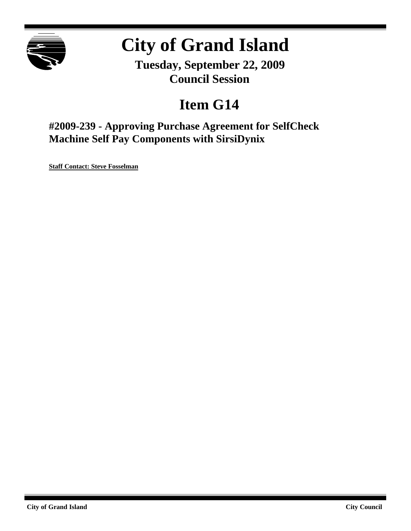

# **City of Grand Island**

**Tuesday, September 22, 2009 Council Session**

# **Item G14**

**#2009-239 - Approving Purchase Agreement for SelfCheck Machine Self Pay Components with SirsiDynix**

**Staff Contact: Steve Fosselman**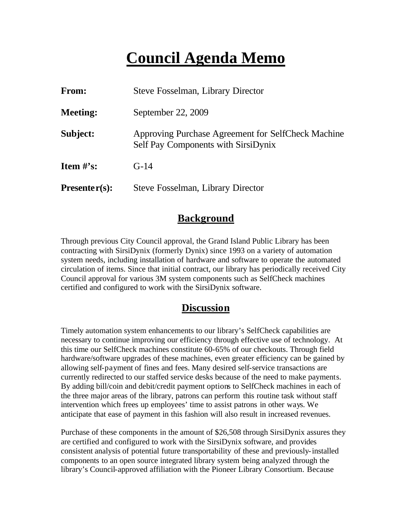# **Council Agenda Memo**

| From:                          | <b>Steve Fosselman, Library Director</b>                                                  |  |  |
|--------------------------------|-------------------------------------------------------------------------------------------|--|--|
| <b>Meeting:</b>                | September 22, 2009                                                                        |  |  |
| Subject:                       | Approving Purchase Agreement for SelfCheck Machine<br>Self Pay Components with SirsiDynix |  |  |
| <b>Item <math>\#</math>'s:</b> | $G-14$                                                                                    |  |  |
| $Presenter(s):$                | Steve Fosselman, Library Director                                                         |  |  |

## **Background**

Through previous City Council approval, the Grand Island Public Library has been contracting with SirsiDynix (formerly Dynix) since 1993 on a variety of automation system needs, including installation of hardware and software to operate the automated circulation of items. Since that initial contract, our library has periodically received City Council approval for various 3M system components such as SelfCheck machines certified and configured to work with the SirsiDynix software.

## **Discussion**

Timely automation system enhancements to our library's SelfCheck capabilities are necessary to continue improving our efficiency through effective use of technology. At this time our SelfCheck machines constitute 60-65% of our checkouts. Through field hardware/software upgrades of these machines, even greater efficiency can be gained by allowing self-payment of fines and fees. Many desired self-service transactions are currently redirected to our staffed service desks because of the need to make payments. By adding bill/coin and debit/credit payment options to SelfCheck machines in each of the three major areas of the library, patrons can perform this routine task without staff intervention which frees up employees' time to assist patrons in other ways. We anticipate that ease of payment in this fashion will also result in increased revenues.

Purchase of these components in the amount of \$26,508 through SirsiDynix assures they are certified and configured to work with the SirsiDynix software, and provides consistent analysis of potential future transportability of these and previously-installed components to an open source integrated library system being analyzed through the library's Council-approved affiliation with the Pioneer Library Consortium. Because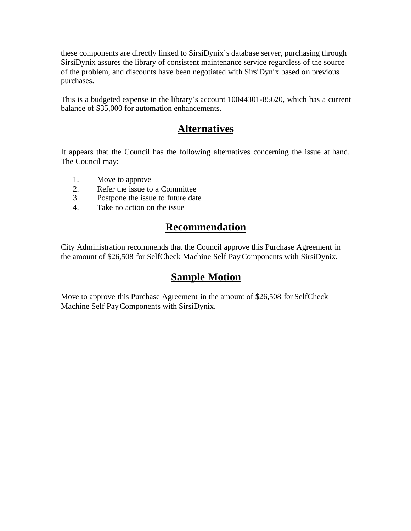these components are directly linked to SirsiDynix's database server, purchasing through SirsiDynix assures the library of consistent maintenance service regardless of the source of the problem, and discounts have been negotiated with SirsiDynix based on previous purchases.

This is a budgeted expense in the library's account 10044301-85620, which has a current balance of \$35,000 for automation enhancements.

## **Alternatives**

It appears that the Council has the following alternatives concerning the issue at hand. The Council may:

- 1. Move to approve
- 2. Refer the issue to a Committee
- 3. Postpone the issue to future date
- 4. Take no action on the issue

# **Recommendation**

City Administration recommends that the Council approve this Purchase Agreement in the amount of \$26,508 for SelfCheck Machine Self PayComponents with SirsiDynix.

## **Sample Motion**

Move to approve this Purchase Agreement in the amount of \$26,508 for SelfCheck Machine Self PayComponents with SirsiDynix.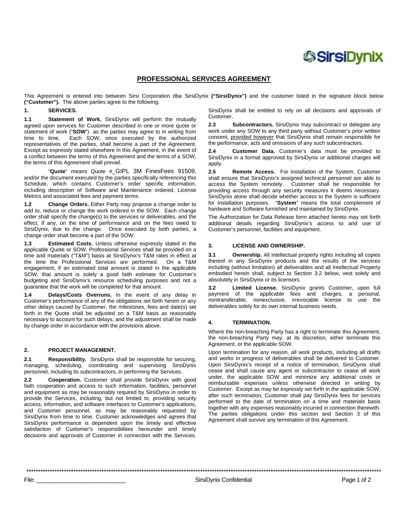# *SSirsiDynix*

### PROFESSIONAL SERVICES AGREEMENT

This Agreement is entered into between Sirsi Corporation dba SirsiDynix ("SirsiDynix") and the customer listed in the signature block below ("Customer"). The above parties agree to the following.

#### $1.$ **SERVICES.**

Statement of Work. SirsiDynix will perform the mutually  $1.1$ agreed upon services for Customer described in one or more quote or statement of work ("SOW") as the parties may agree to in writing from Each SOW, once executed by the authorized time to time. representatives of the parties, shall become a part of the Agreement. Except as expressly stated elsewhere in this Agreement, in the event of a conflict between the terms of this Agreement and the terms of a SOW, the terms of this Agreement shall prevail.

"Quote" means Quote #\_GIPL 3M FinesFees 91509, and/or the document executed by the parties specifically referencing this Schedule, which contains Customer's order specific information, including description of Software and Maintenance ordered, License Metrics and associated fees and payment terms.

 $1.2$ Change Orders. Either Party may propose a change order to add to, reduce or change the work ordered in the SOW. Each change order shall specify the change(s) to the services or deliverables, and the effect, if any, on the time of performance and on the fees owed to SirsiDynix, due to the change. Once executed by both parties, a change order shall become a part of the SOW.

Estimated Costs. Unless otherwise expressly stated in the  $1.3$ applicable Quote or SOW, Professional Services shall be provided on a time and materials ("T&M") basis at SirsiDynix's T&M rates in effect at the time the Professional Services are performed. On a T&M engagement, if an estimated total amount is stated in the applicable SOW, that amount is solely a good faith estimate for Customer's budgeting and SirsiDynix's resource scheduling purposes and not a guarantee that the work will be completed for that amount.

Delays/Costs Overruns. In the event of any delay in  $1.4$ Customer's performance of any of the obligations set forth herein or any other delays caused by Customer, the milestones, fees and date(s) set forth in the Quote shall be adjusted on a T&M basis as reasonably necessary to account for such delays, and the adjustment shall be made by change order in accordance with the provisions above.

#### $2.$ PROJECT MANAGEMENT.

 $2.1$ Responsibility. SirsiDynix shall be responsible for securing, managing, scheduling, coordinating and supervising SirsiDynix personnel, including its subcontractors, in performing the Services.

Cooperation. Customer shall provide SirsiDynix with good  $2.2$ faith cooperation and access to such information, facilities, personnel and equipment as may be reasonably required by SirsiDynix in order to provide the Services, including, but not limited to, providing security access, information, and software interfaces to Customer's applications, and Customer personnel, as may be reasonably requested by SirsiDynix from time to time. Customer acknowledges and agrees that SirsiDynix performance is dependent upon the timely and effective satisfaction of Customer's responsibilities hereunder and timely decisions and approvals of Customer in connection with the Services.

SirsiDynix shall be entitled to rely on all decisions and approvals of Customer.

 $2.3$ Subcontractors. SirsiDynix may subcontract or delegate any work under any SOW to any third party without Customer's prior written consent, provided however that SirsiDynix shall remain responsible for the performance, acts and omissions of any such subcontractors.

 $24$ Customer Data. Customer's data must be provided to SirsiDynix in a format approved by SirsiDynix or additional charges will apply.

 $2.5$ Remote Access. For installation of the System, Customer shall ensure that SirsiDynix's assigned technical personnel are able to access the System remotely. Customer shall be responsible for providing access through any security measures it deems necessary. SirsiDynix alone shall decide whether access to the System is sufficient for installation purposes. "System" means the total complement of hardware and Software furnished and maintained by SirsiDynix.

The Authorization for Data Release form attached hereto may set forth additional details regarding SirsiDynix's access to and use of Customer's personnel, facilities and equipment.

#### 3. **LICENSE AND OWNERSHIP.**

Ownership. All intellectual property rights including all copies  $3.1$ thereof in any SirsiDynix products and the results of the services including (without limitation) all deliverables and all Intellectual Property embodied herein shall, subject to Section 3.2 below, vest solely and absolutely in SirsiDynix or its licensors.

Limited License. SirsiDynix grants Customer, upon full  $32$ payment of the applicable fees and charges, a personal, nontransferable, nonexclusive, irrevocable license to use the deliverables solely for its own internal business needs.

#### $\mathbf{A}$ **TERMINATION.**

Where the non-breaching Party has a right to terminate this Agreement, the non-breaching Party may, at its discretion, either terminate this Agreement, or the applicable SOW.

Upon termination for any reason, all work products, including all drafts and works in progress of deliverables shall be delivered to Customer. Upon SirsiDynix's receipt of a notice of termination, SirsiDynix shall cease and shall cause any agent or subcontractor to cease all work under, the applicable SOW and minimize any additional costs or reimbursable expenses unless otherwise directed in writing by Customer. Except as may be expressly set forth in the applicable SOW, after such termination, Customer shall pay SirsiDynix fees for services performed to the date of termination on a time and materials basis together with any expenses reasonably incurred in connection therewith. The parties obligations under this section and Section 3 of this Agreement shall survive any termination of this Agreement.

 $File:$ 

SirsiDynix Confidential

Page 1 of 2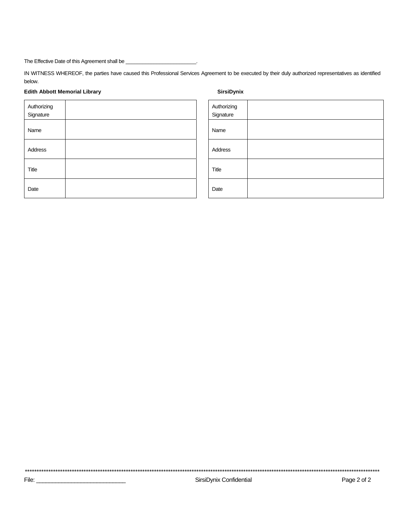IN WITNESS WHEREOF, the parties have caused this Professional Services Agreement to be executed by their duly authorized representatives as identified below.

### **Edith Abbott Memorial Library**

Title

Date

### SirsiDynix

| Authorizing<br>Signature |  |
|--------------------------|--|
| Name                     |  |
| Address                  |  |
| Title                    |  |
| Date                     |  |

Authorizing Signature Name Address

SirsiDynix Confidential

Page 2 of 2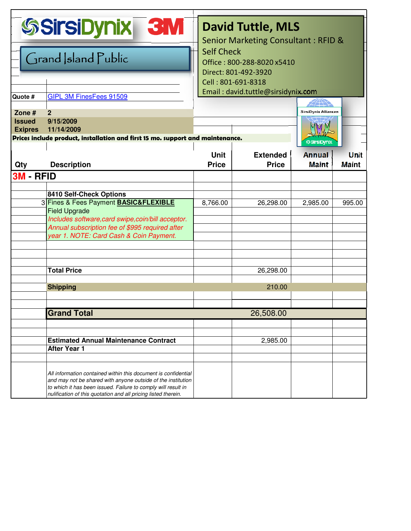|                                 | <b>SSirsiDynix</b><br><b>BM</b>                                                                                                                                                                                                                                   | <b>David Tuttle, MLS</b><br><b>Senior Marketing Consultant: RFID &amp;</b> |                                 |                               |                             |
|---------------------------------|-------------------------------------------------------------------------------------------------------------------------------------------------------------------------------------------------------------------------------------------------------------------|----------------------------------------------------------------------------|---------------------------------|-------------------------------|-----------------------------|
| Grand Sland Public              |                                                                                                                                                                                                                                                                   | <b>Self Check</b><br>Office: 800-288-8020 x5410                            |                                 |                               |                             |
|                                 |                                                                                                                                                                                                                                                                   | Direct: 801-492-3920<br>Cell: 801-691-8318                                 |                                 |                               |                             |
| Quote #                         | <b>GIPL 3M FinesFees 91509</b>                                                                                                                                                                                                                                    | Email: david.tuttle@sirsidynix.com                                         |                                 |                               |                             |
| Zone $#$                        | $\overline{2}$                                                                                                                                                                                                                                                    | <b>SirsiDynix Alliances</b>                                                |                                 |                               |                             |
| <b>Issued</b><br><b>Exipres</b> | 9/15/2009<br>11/14/2009                                                                                                                                                                                                                                           |                                                                            |                                 | e                             |                             |
|                                 | Prices include product, installation and first 15 mo. support and maintenance.                                                                                                                                                                                    |                                                                            |                                 | <b>SSITSIDynix</b>            |                             |
| Qty                             | <b>Description</b>                                                                                                                                                                                                                                                | <b>Unit</b><br><b>Price</b>                                                | <b>Extended</b><br><b>Price</b> | <b>Annual</b><br><b>Maint</b> | <b>Unit</b><br><b>Maint</b> |
| 3M - RFID                       |                                                                                                                                                                                                                                                                   |                                                                            |                                 |                               |                             |
|                                 |                                                                                                                                                                                                                                                                   |                                                                            |                                 |                               |                             |
|                                 | 8410 Self-Check Options                                                                                                                                                                                                                                           |                                                                            |                                 |                               |                             |
|                                 | 3 Fines & Fees Payment BASIC&FLEXIBLE<br><b>Field Upgrade</b><br>Includes software, card swipe, coin/bill acceptor.<br>Annual subscription fee of \$995 required after<br>year 1. NOTE: Card Cash & Coin Payment.                                                 | 8,766.00                                                                   | 26,298.00                       | 2,985.00                      | 995.00                      |
|                                 |                                                                                                                                                                                                                                                                   |                                                                            |                                 |                               |                             |
|                                 |                                                                                                                                                                                                                                                                   |                                                                            |                                 |                               |                             |
|                                 | <b>Total Price</b>                                                                                                                                                                                                                                                |                                                                            | 26,298.00                       |                               |                             |
|                                 |                                                                                                                                                                                                                                                                   |                                                                            |                                 |                               |                             |
|                                 | <b>Shipping</b>                                                                                                                                                                                                                                                   |                                                                            | 210.00                          |                               |                             |
|                                 |                                                                                                                                                                                                                                                                   |                                                                            |                                 |                               |                             |
|                                 | <b>Grand Total</b>                                                                                                                                                                                                                                                |                                                                            | 26,508.00                       |                               |                             |
|                                 |                                                                                                                                                                                                                                                                   |                                                                            |                                 |                               |                             |
|                                 |                                                                                                                                                                                                                                                                   |                                                                            |                                 |                               |                             |
|                                 | <b>Estimated Annual Maintenance Contract</b>                                                                                                                                                                                                                      |                                                                            | 2,985.00                        |                               |                             |
|                                 | <b>After Year 1</b>                                                                                                                                                                                                                                               |                                                                            |                                 |                               |                             |
|                                 |                                                                                                                                                                                                                                                                   |                                                                            |                                 |                               |                             |
|                                 | All information contained within this document is confidential<br>and may not be shared with anyone outside of the institution<br>to which it has been issued. Failure to comply will result in<br>nulification of this quotation and all pricing listed therein. |                                                                            |                                 |                               |                             |